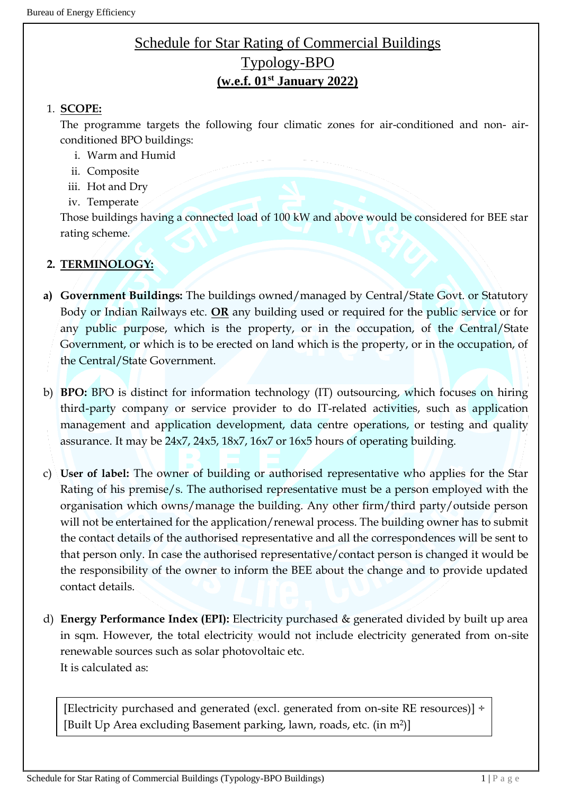# Schedule for Star Rating of Commercial Buildings Typology-BPO **(w.e.f. 01st January 2022)**

#### 1. **SCOPE:**

The programme targets the following four climatic zones for air-conditioned and non- airconditioned BPO buildings:

- i. Warm and Humid
- ii. Composite
- iii. Hot and Dry
- iv. Temperate

Those buildings having a connected load of 100 kW and above would be considered for BEE star rating scheme.

#### **2. TERMINOLOGY:**

- **a) Government Buildings:** The buildings owned/managed by Central/State Govt. or Statutory Body or Indian Railways etc. **OR** any building used or required for the public service or for any public purpose, which is the property, or in the occupation, of the Central/State Government, or which is to be erected on land which is the property, or in the occupation, of the Central/State Government.
- b) **BPO:** BPO is distinct for information technology (IT) outsourcing, which focuses on hiring third-party company or service provider to do IT-related activities, such as application management and application development, data centre operations, or testing and quality assurance. It may be 24x7, 24x5, 18x7, 16x7 or 16x5 hours of operating building.
- c) **User of label:** The owner of building or authorised representative who applies for the Star Rating of his premise/s. The authorised representative must be a person employed with the organisation which owns/manage the building. Any other firm/third party/outside person will not be entertained for the application/renewal process. The building owner has to submit the contact details of the authorised representative and all the correspondences will be sent to that person only. In case the authorised representative/contact person is changed it would be the responsibility of the owner to inform the BEE about the change and to provide updated contact details.
- d) **Energy Performance Index (EPI):** Electricity purchased & generated divided by built up area in sqm. However, the total electricity would not include electricity generated from on-site renewable sources such as solar photovoltaic etc. It is calculated as:

[Electricity purchased and generated (excl. generated from on-site RE resources)] ÷ [Built Up Area excluding Basement parking, lawn, roads, etc. (in m<sup>2</sup> )]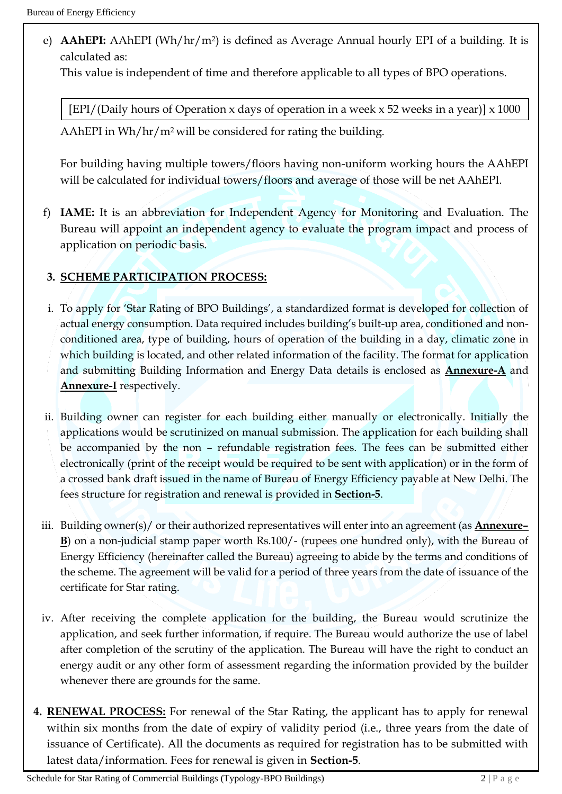e) **AAhEPI:** AAhEPI (Wh/hr/m<sup>2</sup>) is defined as Average Annual hourly EPI of a building. It is calculated as:

This value is independent of time and therefore applicable to all types of BPO operations.

[EPI/(Daily hours of Operation x days of operation in a week x 52 weeks in a year)] x 1000

AAhEPI in Wh/hr/m2 will be considered for rating the building.

For building having multiple towers/floors having non-uniform working hours the AAhEPI will be calculated for individual towers/floors and average of those will be net AAhEPI.

f) **IAME:** It is an abbreviation for Independent Agency for Monitoring and Evaluation. The Bureau will appoint an independent agency to evaluate the program impact and process of application on periodic basis.

## **3. SCHEME PARTICIPATION PROCESS:**

- i. To apply for 'Star Rating of BPO Buildings', a standardized format is developed for collection of actual energy consumption. Data required includes building's built-up area, conditioned and nonconditioned area, type of building, hours of operation of the building in a day, climatic zone in which building is located, and other related information of the facility. The format for application and submitting Building Information and Energy Data details is enclosed as **Annexure-A** and **Annexure-I** respectively.
- ii. Building owner can register for each building either manually or electronically. Initially the applications would be scrutinized on manual submission. The application for each building shall be accompanied by the non – refundable registration fees. The fees can be submitted either electronically (print of the receipt would be required to be sent with application) or in the form of a crossed bank draft issued in the name of Bureau of Energy Efficiency payable at New Delhi. The fees structure for registration and renewal is provided in **Section-5**.
- iii. Building owner(s)/ or their authorized representatives will enter into an agreement (as **Annexure– B**) on a non-judicial stamp paper worth Rs.100/- (rupees one hundred only), with the Bureau of Energy Efficiency (hereinafter called the Bureau) agreeing to abide by the terms and conditions of the scheme. The agreement will be valid for a period of three years from the date of issuance of the certificate for Star rating.
- iv. After receiving the complete application for the building, the Bureau would scrutinize the application, and seek further information, if require. The Bureau would authorize the use of label after completion of the scrutiny of the application. The Bureau will have the right to conduct an energy audit or any other form of assessment regarding the information provided by the builder whenever there are grounds for the same.
- **4. RENEWAL PROCESS:** For renewal of the Star Rating, the applicant has to apply for renewal within six months from the date of expiry of validity period (i.e., three years from the date of issuance of Certificate). All the documents as required for registration has to be submitted with latest data/information. Fees for renewal is given in **Section-5**.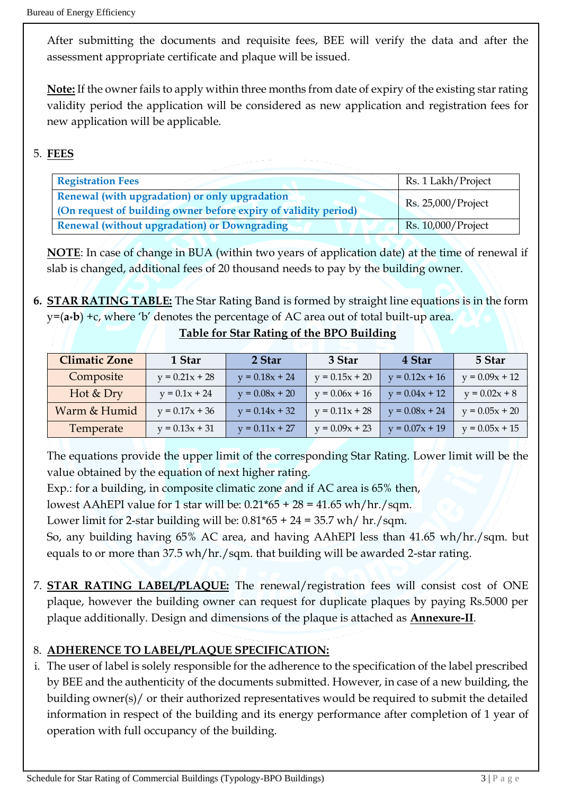After submitting the documents and requisite fees, BEE will verify the data and after the assessment appropriate certificate and plaque will be issued.

**Note:** If the owner fails to apply within three months from date of expiry of the existing star rating validity period the application will be considered as new application and registration fees for new application will be applicable.

# 5. **FEES**

| <b>Registration Fees</b>                                                                                          | Rs. 1 Lakh/Project |
|-------------------------------------------------------------------------------------------------------------------|--------------------|
| Renewal (with upgradation) or only upgradation<br>(On request of building owner before expiry of validity period) | Rs. 25,000/Project |
| <b>Renewal (without upgradation) or Downgrading</b>                                                               | Rs. 10,000/Project |

**NOTE**: In case of change in BUA (within two years of application date) at the time of renewal if slab is changed, additional fees of 20 thousand needs to pay by the building owner.

**6. STAR RATING TABLE:** The Star Rating Band is formed by straight line equations is in the form y=(**a\*b**) +c, where 'b' denotes the percentage of AC area out of total built-up area. **Table for Star Rating of the BPO Building**

| Table for Star Kating of the BPO Building |
|-------------------------------------------|
|-------------------------------------------|

| <b>Climatic Zone</b> | 1 Star           | 2 Star           | 3 Star           | 4 Star           | 5 Star           |
|----------------------|------------------|------------------|------------------|------------------|------------------|
| Composite            | $y = 0.21x + 28$ | $y = 0.18x + 24$ | $y = 0.15x + 20$ | $y = 0.12x + 16$ | $y = 0.09x + 12$ |
| Hot & Dry            | $y = 0.1x + 24$  | $y = 0.08x + 20$ | $y = 0.06x + 16$ | $y = 0.04x + 12$ | $y = 0.02x + 8$  |
| Warm & Humid         | $y = 0.17x + 36$ | $y = 0.14x + 32$ | $y = 0.11x + 28$ | $y = 0.08x + 24$ | $y = 0.05x + 20$ |
| Temperate            | $y = 0.13x + 31$ | $y = 0.11x + 27$ | $y = 0.09x + 23$ | $y = 0.07x + 19$ | $y = 0.05x + 15$ |

The equations provide the upper limit of the corresponding Star Rating. Lower limit will be the value obtained by the equation of next higher rating.

Exp.: for a building, in composite climatic zone and if AC area is 65% then,

lowest AAhEPI value for 1 star will be:  $0.21*65 + 28 = 41.65$  wh/hr./sqm.

Lower limit for 2-star building will be:  $0.81*65 + 24 = 35.7$  wh/ hr./sqm.

So, any building having 65% AC area, and having AAhEPI less than 41.65 wh/hr./sqm. but equals to or more than 37.5 wh/hr./sqm. that building will be awarded 2-star rating.

7. **STAR RATING LABEL/PLAQUE:** The renewal/registration fees will consist cost of ONE plaque, however the building owner can request for duplicate plaques by paying Rs.5000 per plaque additionally. Design and dimensions of the plaque is attached as **Annexure-II**.

# 8. **ADHERENCE TO LABEL/PLAQUE SPECIFICATION:**

i. The user of label is solely responsible for the adherence to the specification of the label prescribed by BEE and the authenticity of the documents submitted. However, in case of a new building, the building owner(s)/ or their authorized representatives would be required to submit the detailed information in respect of the building and its energy performance after completion of 1 year of operation with full occupancy of the building.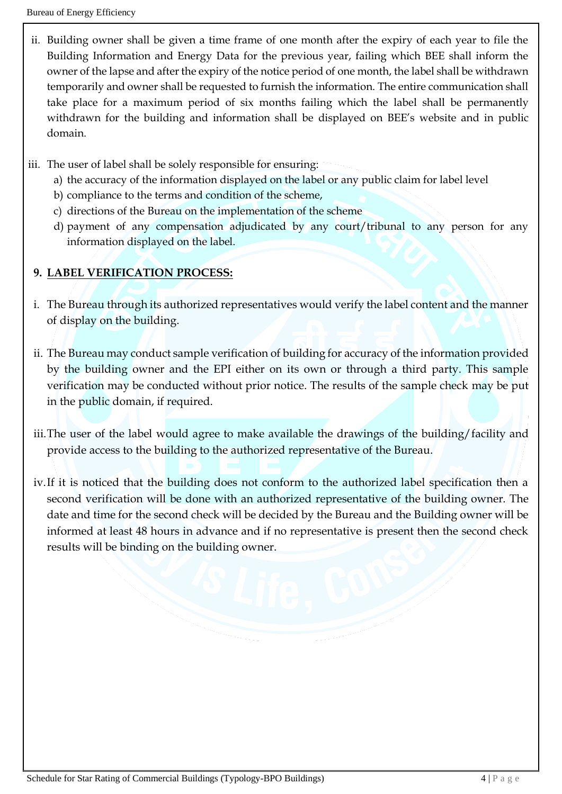- ii. Building owner shall be given a time frame of one month after the expiry of each year to file the Building Information and Energy Data for the previous year, failing which BEE shall inform the owner of the lapse and after the expiry of the notice period of one month, the label shall be withdrawn temporarily and owner shall be requested to furnish the information. The entire communication shall take place for a maximum period of six months failing which the label shall be permanently withdrawn for the building and information shall be displayed on BEE's website and in public domain.
- iii. The user of label shall be solely responsible for ensuring:
	- a) the accuracy of the information displayed on the label or any public claim for label level
	- b) compliance to the terms and condition of the scheme,
	- c) directions of the Bureau on the implementation of the scheme
	- d) payment of any compensation adjudicated by any court/tribunal to any person for any information displayed on the label.

## **9. LABEL VERIFICATION PROCESS:**

- i. The Bureau through its authorized representatives would verify the label content and the manner of display on the building.
- ii. The Bureau may conduct sample verification of building for accuracy of the information provided by the building owner and the EPI either on its own or through a third party. This sample verification may be conducted without prior notice. The results of the sample check may be put in the public domain, if required.
- iii.The user of the label would agree to make available the drawings of the building/facility and provide access to the building to the authorized representative of the Bureau.
- iv.If it is noticed that the building does not conform to the authorized label specification then a second verification will be done with an authorized representative of the building owner. The date and time for the second check will be decided by the Bureau and the Building owner will be informed at least 48 hours in advance and if no representative is present then the second check results will be binding on the building owner.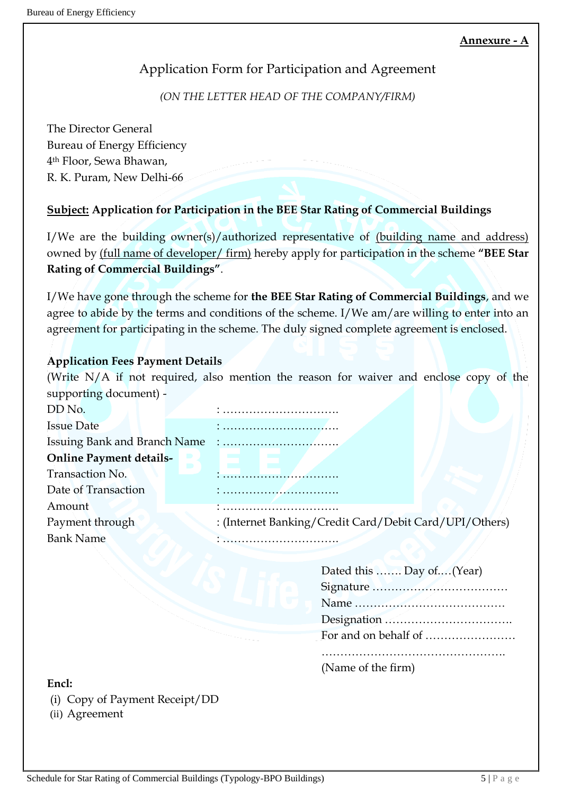# Application Form for Participation and Agreement

# *(ON THE LETTER HEAD OF THE COMPANY/FIRM)*

The Director General Bureau of Energy Efficiency 4 th Floor, Sewa Bhawan, R. K. Puram, New Delhi-66

# **Subject: Application for Participation in the BEE Star Rating of Commercial Buildings**

I/We are the building owner(s)/authorized representative of (building name and address) owned by (full name of developer/ firm) hereby apply for participation in the scheme **"BEE Star Rating of Commercial Buildings"**.

I/We have gone through the scheme for **the BEE Star Rating of Commercial Buildings**, and we agree to abide by the terms and conditions of the scheme. I/We am/are willing to enter into an agreement for participating in the scheme. The duly signed complete agreement is enclosed.

# **Application Fees Payment Details**

(Write N/A if not required, also mention the reason for waiver and enclose copy of the supporting document) -

| DD No.                              |                                                        |
|-------------------------------------|--------------------------------------------------------|
| <b>Issue Date</b>                   |                                                        |
| <b>Issuing Bank and Branch Name</b> |                                                        |
| <b>Online Payment details-</b>      |                                                        |
| Transaction No.                     |                                                        |
| Date of Transaction                 |                                                        |
| Amount                              |                                                        |
| Payment through                     | : (Internet Banking/Credit Card/Debit Card/UPI/Others) |
| <b>Bank Name</b>                    |                                                        |
|                                     |                                                        |

### **Encl:**

- (i) Copy of Payment Receipt/DD
- (ii) Agreement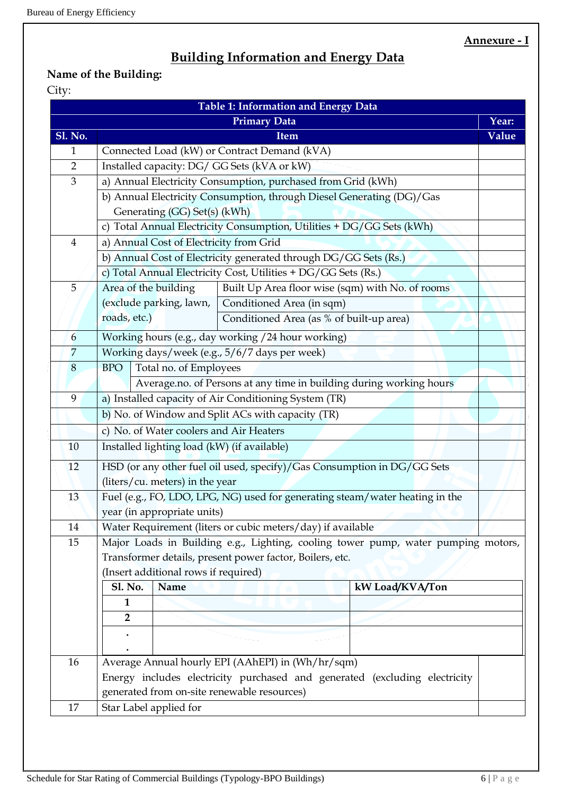# **Building Information and Energy Data**

# **Name of the Building:**

# City:

| <b>Primary Data</b><br>Year:<br><b>Sl. No.</b><br>Value<br>Item<br>Connected Load (kW) or Contract Demand (kVA)<br>1<br>Installed capacity: DG/ GG Sets (kVA or kW)<br>$\overline{2}$<br>a) Annual Electricity Consumption, purchased from Grid (kWh)<br>3<br>b) Annual Electricity Consumption, through Diesel Generating (DG)/Gas<br>Generating (GG) Set(s) (kWh)<br>c) Total Annual Electricity Consumption, Utilities + DG/GG Sets (kWh)<br>a) Annual Cost of Electricity from Grid<br>$\overline{4}$<br>b) Annual Cost of Electricity generated through DG/GG Sets (Rs.)<br>c) Total Annual Electricity Cost, Utilities + DG/GG Sets (Rs.)<br>Area of the building<br>Built Up Area floor wise (sqm) with No. of rooms<br>5<br>(exclude parking, lawn,<br>Conditioned Area (in sqm)<br>roads, etc.)<br>Conditioned Area (as % of built-up area)<br>Working hours (e.g., day working / 24 hour working)<br>6<br>$\overline{7}$<br>Working days/week (e.g., 5/6/7 days per week)<br>Total no. of Employees<br><b>BPO</b><br>8<br>Average.no. of Persons at any time in building during working hours<br>9<br>a) Installed capacity of Air Conditioning System (TR)<br>b) No. of Window and Split ACs with capacity (TR)<br>c) No. of Water coolers and Air Heaters<br>Installed lighting load (kW) (if available)<br>10<br>HSD (or any other fuel oil used, specify)/Gas Consumption in DG/GG Sets<br>12<br>(liters/cu. meters) in the year<br>Fuel (e.g., FO, LDO, LPG, NG) used for generating steam/water heating in the<br>13<br>year (in appropriate units)<br>14<br>Water Requirement (liters or cubic meters/day) if available<br>Major Loads in Building e.g., Lighting, cooling tower pump, water pumping motors,<br>15<br>Transformer details, present power factor, Boilers, etc.<br>(Insert additional rows if required)<br>Name<br><b>Sl. No.</b><br>kW Load/KVA/Ton<br>$\mathbf{1}$<br>2<br>Average Annual hourly EPI (AAhEPI) in (Wh/hr/sqm)<br>16<br>Energy includes electricity purchased and generated (excluding electricity<br>generated from on-site renewable resources)<br>Star Label applied for |    |  |  | Table 1: Information and Energy Data |  |  |
|-----------------------------------------------------------------------------------------------------------------------------------------------------------------------------------------------------------------------------------------------------------------------------------------------------------------------------------------------------------------------------------------------------------------------------------------------------------------------------------------------------------------------------------------------------------------------------------------------------------------------------------------------------------------------------------------------------------------------------------------------------------------------------------------------------------------------------------------------------------------------------------------------------------------------------------------------------------------------------------------------------------------------------------------------------------------------------------------------------------------------------------------------------------------------------------------------------------------------------------------------------------------------------------------------------------------------------------------------------------------------------------------------------------------------------------------------------------------------------------------------------------------------------------------------------------------------------------------------------------------------------------------------------------------------------------------------------------------------------------------------------------------------------------------------------------------------------------------------------------------------------------------------------------------------------------------------------------------------------------------------------------------------------------------------------------------------------------------------------------------------------|----|--|--|--------------------------------------|--|--|
|                                                                                                                                                                                                                                                                                                                                                                                                                                                                                                                                                                                                                                                                                                                                                                                                                                                                                                                                                                                                                                                                                                                                                                                                                                                                                                                                                                                                                                                                                                                                                                                                                                                                                                                                                                                                                                                                                                                                                                                                                                                                                                                             |    |  |  |                                      |  |  |
|                                                                                                                                                                                                                                                                                                                                                                                                                                                                                                                                                                                                                                                                                                                                                                                                                                                                                                                                                                                                                                                                                                                                                                                                                                                                                                                                                                                                                                                                                                                                                                                                                                                                                                                                                                                                                                                                                                                                                                                                                                                                                                                             |    |  |  |                                      |  |  |
|                                                                                                                                                                                                                                                                                                                                                                                                                                                                                                                                                                                                                                                                                                                                                                                                                                                                                                                                                                                                                                                                                                                                                                                                                                                                                                                                                                                                                                                                                                                                                                                                                                                                                                                                                                                                                                                                                                                                                                                                                                                                                                                             |    |  |  |                                      |  |  |
|                                                                                                                                                                                                                                                                                                                                                                                                                                                                                                                                                                                                                                                                                                                                                                                                                                                                                                                                                                                                                                                                                                                                                                                                                                                                                                                                                                                                                                                                                                                                                                                                                                                                                                                                                                                                                                                                                                                                                                                                                                                                                                                             |    |  |  |                                      |  |  |
|                                                                                                                                                                                                                                                                                                                                                                                                                                                                                                                                                                                                                                                                                                                                                                                                                                                                                                                                                                                                                                                                                                                                                                                                                                                                                                                                                                                                                                                                                                                                                                                                                                                                                                                                                                                                                                                                                                                                                                                                                                                                                                                             |    |  |  |                                      |  |  |
|                                                                                                                                                                                                                                                                                                                                                                                                                                                                                                                                                                                                                                                                                                                                                                                                                                                                                                                                                                                                                                                                                                                                                                                                                                                                                                                                                                                                                                                                                                                                                                                                                                                                                                                                                                                                                                                                                                                                                                                                                                                                                                                             |    |  |  |                                      |  |  |
|                                                                                                                                                                                                                                                                                                                                                                                                                                                                                                                                                                                                                                                                                                                                                                                                                                                                                                                                                                                                                                                                                                                                                                                                                                                                                                                                                                                                                                                                                                                                                                                                                                                                                                                                                                                                                                                                                                                                                                                                                                                                                                                             |    |  |  |                                      |  |  |
|                                                                                                                                                                                                                                                                                                                                                                                                                                                                                                                                                                                                                                                                                                                                                                                                                                                                                                                                                                                                                                                                                                                                                                                                                                                                                                                                                                                                                                                                                                                                                                                                                                                                                                                                                                                                                                                                                                                                                                                                                                                                                                                             |    |  |  |                                      |  |  |
|                                                                                                                                                                                                                                                                                                                                                                                                                                                                                                                                                                                                                                                                                                                                                                                                                                                                                                                                                                                                                                                                                                                                                                                                                                                                                                                                                                                                                                                                                                                                                                                                                                                                                                                                                                                                                                                                                                                                                                                                                                                                                                                             |    |  |  |                                      |  |  |
|                                                                                                                                                                                                                                                                                                                                                                                                                                                                                                                                                                                                                                                                                                                                                                                                                                                                                                                                                                                                                                                                                                                                                                                                                                                                                                                                                                                                                                                                                                                                                                                                                                                                                                                                                                                                                                                                                                                                                                                                                                                                                                                             |    |  |  |                                      |  |  |
|                                                                                                                                                                                                                                                                                                                                                                                                                                                                                                                                                                                                                                                                                                                                                                                                                                                                                                                                                                                                                                                                                                                                                                                                                                                                                                                                                                                                                                                                                                                                                                                                                                                                                                                                                                                                                                                                                                                                                                                                                                                                                                                             |    |  |  |                                      |  |  |
|                                                                                                                                                                                                                                                                                                                                                                                                                                                                                                                                                                                                                                                                                                                                                                                                                                                                                                                                                                                                                                                                                                                                                                                                                                                                                                                                                                                                                                                                                                                                                                                                                                                                                                                                                                                                                                                                                                                                                                                                                                                                                                                             |    |  |  |                                      |  |  |
|                                                                                                                                                                                                                                                                                                                                                                                                                                                                                                                                                                                                                                                                                                                                                                                                                                                                                                                                                                                                                                                                                                                                                                                                                                                                                                                                                                                                                                                                                                                                                                                                                                                                                                                                                                                                                                                                                                                                                                                                                                                                                                                             |    |  |  |                                      |  |  |
|                                                                                                                                                                                                                                                                                                                                                                                                                                                                                                                                                                                                                                                                                                                                                                                                                                                                                                                                                                                                                                                                                                                                                                                                                                                                                                                                                                                                                                                                                                                                                                                                                                                                                                                                                                                                                                                                                                                                                                                                                                                                                                                             |    |  |  |                                      |  |  |
|                                                                                                                                                                                                                                                                                                                                                                                                                                                                                                                                                                                                                                                                                                                                                                                                                                                                                                                                                                                                                                                                                                                                                                                                                                                                                                                                                                                                                                                                                                                                                                                                                                                                                                                                                                                                                                                                                                                                                                                                                                                                                                                             |    |  |  |                                      |  |  |
|                                                                                                                                                                                                                                                                                                                                                                                                                                                                                                                                                                                                                                                                                                                                                                                                                                                                                                                                                                                                                                                                                                                                                                                                                                                                                                                                                                                                                                                                                                                                                                                                                                                                                                                                                                                                                                                                                                                                                                                                                                                                                                                             |    |  |  |                                      |  |  |
|                                                                                                                                                                                                                                                                                                                                                                                                                                                                                                                                                                                                                                                                                                                                                                                                                                                                                                                                                                                                                                                                                                                                                                                                                                                                                                                                                                                                                                                                                                                                                                                                                                                                                                                                                                                                                                                                                                                                                                                                                                                                                                                             |    |  |  |                                      |  |  |
|                                                                                                                                                                                                                                                                                                                                                                                                                                                                                                                                                                                                                                                                                                                                                                                                                                                                                                                                                                                                                                                                                                                                                                                                                                                                                                                                                                                                                                                                                                                                                                                                                                                                                                                                                                                                                                                                                                                                                                                                                                                                                                                             |    |  |  |                                      |  |  |
|                                                                                                                                                                                                                                                                                                                                                                                                                                                                                                                                                                                                                                                                                                                                                                                                                                                                                                                                                                                                                                                                                                                                                                                                                                                                                                                                                                                                                                                                                                                                                                                                                                                                                                                                                                                                                                                                                                                                                                                                                                                                                                                             |    |  |  |                                      |  |  |
|                                                                                                                                                                                                                                                                                                                                                                                                                                                                                                                                                                                                                                                                                                                                                                                                                                                                                                                                                                                                                                                                                                                                                                                                                                                                                                                                                                                                                                                                                                                                                                                                                                                                                                                                                                                                                                                                                                                                                                                                                                                                                                                             |    |  |  |                                      |  |  |
|                                                                                                                                                                                                                                                                                                                                                                                                                                                                                                                                                                                                                                                                                                                                                                                                                                                                                                                                                                                                                                                                                                                                                                                                                                                                                                                                                                                                                                                                                                                                                                                                                                                                                                                                                                                                                                                                                                                                                                                                                                                                                                                             |    |  |  |                                      |  |  |
|                                                                                                                                                                                                                                                                                                                                                                                                                                                                                                                                                                                                                                                                                                                                                                                                                                                                                                                                                                                                                                                                                                                                                                                                                                                                                                                                                                                                                                                                                                                                                                                                                                                                                                                                                                                                                                                                                                                                                                                                                                                                                                                             |    |  |  |                                      |  |  |
|                                                                                                                                                                                                                                                                                                                                                                                                                                                                                                                                                                                                                                                                                                                                                                                                                                                                                                                                                                                                                                                                                                                                                                                                                                                                                                                                                                                                                                                                                                                                                                                                                                                                                                                                                                                                                                                                                                                                                                                                                                                                                                                             |    |  |  |                                      |  |  |
|                                                                                                                                                                                                                                                                                                                                                                                                                                                                                                                                                                                                                                                                                                                                                                                                                                                                                                                                                                                                                                                                                                                                                                                                                                                                                                                                                                                                                                                                                                                                                                                                                                                                                                                                                                                                                                                                                                                                                                                                                                                                                                                             |    |  |  |                                      |  |  |
|                                                                                                                                                                                                                                                                                                                                                                                                                                                                                                                                                                                                                                                                                                                                                                                                                                                                                                                                                                                                                                                                                                                                                                                                                                                                                                                                                                                                                                                                                                                                                                                                                                                                                                                                                                                                                                                                                                                                                                                                                                                                                                                             |    |  |  |                                      |  |  |
|                                                                                                                                                                                                                                                                                                                                                                                                                                                                                                                                                                                                                                                                                                                                                                                                                                                                                                                                                                                                                                                                                                                                                                                                                                                                                                                                                                                                                                                                                                                                                                                                                                                                                                                                                                                                                                                                                                                                                                                                                                                                                                                             |    |  |  |                                      |  |  |
|                                                                                                                                                                                                                                                                                                                                                                                                                                                                                                                                                                                                                                                                                                                                                                                                                                                                                                                                                                                                                                                                                                                                                                                                                                                                                                                                                                                                                                                                                                                                                                                                                                                                                                                                                                                                                                                                                                                                                                                                                                                                                                                             |    |  |  |                                      |  |  |
|                                                                                                                                                                                                                                                                                                                                                                                                                                                                                                                                                                                                                                                                                                                                                                                                                                                                                                                                                                                                                                                                                                                                                                                                                                                                                                                                                                                                                                                                                                                                                                                                                                                                                                                                                                                                                                                                                                                                                                                                                                                                                                                             |    |  |  |                                      |  |  |
|                                                                                                                                                                                                                                                                                                                                                                                                                                                                                                                                                                                                                                                                                                                                                                                                                                                                                                                                                                                                                                                                                                                                                                                                                                                                                                                                                                                                                                                                                                                                                                                                                                                                                                                                                                                                                                                                                                                                                                                                                                                                                                                             |    |  |  |                                      |  |  |
|                                                                                                                                                                                                                                                                                                                                                                                                                                                                                                                                                                                                                                                                                                                                                                                                                                                                                                                                                                                                                                                                                                                                                                                                                                                                                                                                                                                                                                                                                                                                                                                                                                                                                                                                                                                                                                                                                                                                                                                                                                                                                                                             |    |  |  |                                      |  |  |
|                                                                                                                                                                                                                                                                                                                                                                                                                                                                                                                                                                                                                                                                                                                                                                                                                                                                                                                                                                                                                                                                                                                                                                                                                                                                                                                                                                                                                                                                                                                                                                                                                                                                                                                                                                                                                                                                                                                                                                                                                                                                                                                             |    |  |  |                                      |  |  |
|                                                                                                                                                                                                                                                                                                                                                                                                                                                                                                                                                                                                                                                                                                                                                                                                                                                                                                                                                                                                                                                                                                                                                                                                                                                                                                                                                                                                                                                                                                                                                                                                                                                                                                                                                                                                                                                                                                                                                                                                                                                                                                                             |    |  |  |                                      |  |  |
|                                                                                                                                                                                                                                                                                                                                                                                                                                                                                                                                                                                                                                                                                                                                                                                                                                                                                                                                                                                                                                                                                                                                                                                                                                                                                                                                                                                                                                                                                                                                                                                                                                                                                                                                                                                                                                                                                                                                                                                                                                                                                                                             |    |  |  |                                      |  |  |
|                                                                                                                                                                                                                                                                                                                                                                                                                                                                                                                                                                                                                                                                                                                                                                                                                                                                                                                                                                                                                                                                                                                                                                                                                                                                                                                                                                                                                                                                                                                                                                                                                                                                                                                                                                                                                                                                                                                                                                                                                                                                                                                             |    |  |  |                                      |  |  |
|                                                                                                                                                                                                                                                                                                                                                                                                                                                                                                                                                                                                                                                                                                                                                                                                                                                                                                                                                                                                                                                                                                                                                                                                                                                                                                                                                                                                                                                                                                                                                                                                                                                                                                                                                                                                                                                                                                                                                                                                                                                                                                                             |    |  |  |                                      |  |  |
|                                                                                                                                                                                                                                                                                                                                                                                                                                                                                                                                                                                                                                                                                                                                                                                                                                                                                                                                                                                                                                                                                                                                                                                                                                                                                                                                                                                                                                                                                                                                                                                                                                                                                                                                                                                                                                                                                                                                                                                                                                                                                                                             |    |  |  |                                      |  |  |
|                                                                                                                                                                                                                                                                                                                                                                                                                                                                                                                                                                                                                                                                                                                                                                                                                                                                                                                                                                                                                                                                                                                                                                                                                                                                                                                                                                                                                                                                                                                                                                                                                                                                                                                                                                                                                                                                                                                                                                                                                                                                                                                             |    |  |  |                                      |  |  |
|                                                                                                                                                                                                                                                                                                                                                                                                                                                                                                                                                                                                                                                                                                                                                                                                                                                                                                                                                                                                                                                                                                                                                                                                                                                                                                                                                                                                                                                                                                                                                                                                                                                                                                                                                                                                                                                                                                                                                                                                                                                                                                                             |    |  |  |                                      |  |  |
|                                                                                                                                                                                                                                                                                                                                                                                                                                                                                                                                                                                                                                                                                                                                                                                                                                                                                                                                                                                                                                                                                                                                                                                                                                                                                                                                                                                                                                                                                                                                                                                                                                                                                                                                                                                                                                                                                                                                                                                                                                                                                                                             | 17 |  |  |                                      |  |  |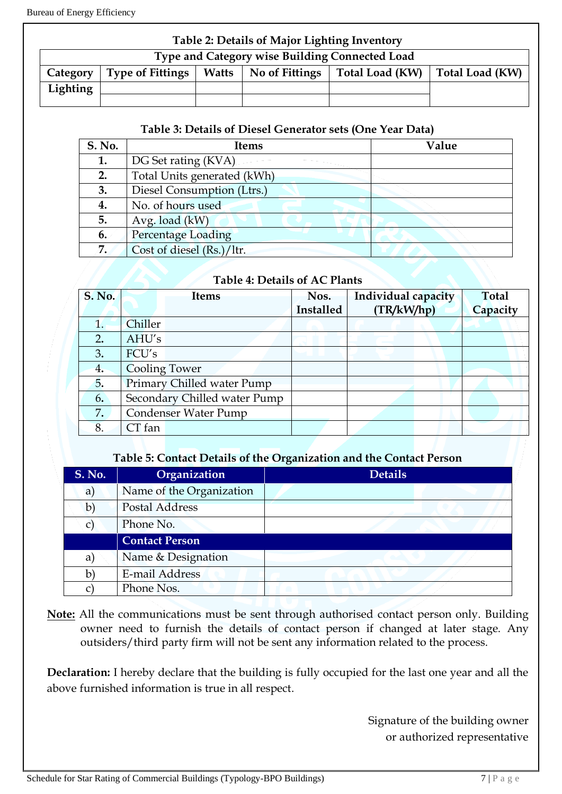| Table 2: Details of Major Lighting Inventory |                                                |  |                        |                 |                 |
|----------------------------------------------|------------------------------------------------|--|------------------------|-----------------|-----------------|
|                                              | Type and Category wise Building Connected Load |  |                        |                 |                 |
| Category                                     | <b>Type of Fittings</b>                        |  | Watts   No of Fittings | Total Load (KW) | Total Load (KW) |
| Lighting                                     |                                                |  |                        |                 |                 |
|                                              |                                                |  |                        |                 |                 |

#### **Table 3: Details of Diesel Generator sets (One Year Data)**

| <b>S. No.</b> | <b>Items</b>                | Value |
|---------------|-----------------------------|-------|
| 1.            | DG Set rating (KVA)         |       |
| 2.            | Total Units generated (kWh) |       |
| 3.            | Diesel Consumption (Ltrs.)  |       |
| 4.            | No. of hours used           |       |
| 5.            | Avg. load (kW)              |       |
| 6.            | <b>Percentage Loading</b>   |       |
| 7.            | Cost of diesel (Rs.)/ltr.   |       |

## **Table 4: Details of AC Plants**

| <b>S. No.</b> | <b>Items</b>                 | Nos.      | Individual capacity | <b>Total</b> |
|---------------|------------------------------|-----------|---------------------|--------------|
|               |                              | Installed | (TR/kW/hp)          | Capacity     |
|               | Chiller                      |           |                     |              |
| 2.            | AHU's                        |           |                     |              |
| 3.            | FCU's                        |           |                     |              |
| 4.            | <b>Cooling Tower</b>         |           |                     |              |
| 5.            | Primary Chilled water Pump   |           |                     |              |
| 6.            | Secondary Chilled water Pump |           |                     |              |
| 7.            | <b>Condenser Water Pump</b>  |           |                     |              |
| 8.            | $CT$ fan                     |           |                     |              |

#### **Table 5: Contact Details of the Organization and the Contact Person**

| <b>S. No.</b> | Organization             | <b>Details</b> |
|---------------|--------------------------|----------------|
| a)            | Name of the Organization |                |
| $\mathbf{b}$  | Postal Address           |                |
|               | Phone No.                |                |
|               | <b>Contact Person</b>    |                |
| a)            | Name & Designation       |                |
| b             | E-mail Address           |                |
|               | Phone Nos.               |                |

**Note:** All the communications must be sent through authorised contact person only. Building owner need to furnish the details of contact person if changed at later stage. Any outsiders/third party firm will not be sent any information related to the process.

**Declaration:** I hereby declare that the building is fully occupied for the last one year and all the above furnished information is true in all respect.

> Signature of the building owner or authorized representative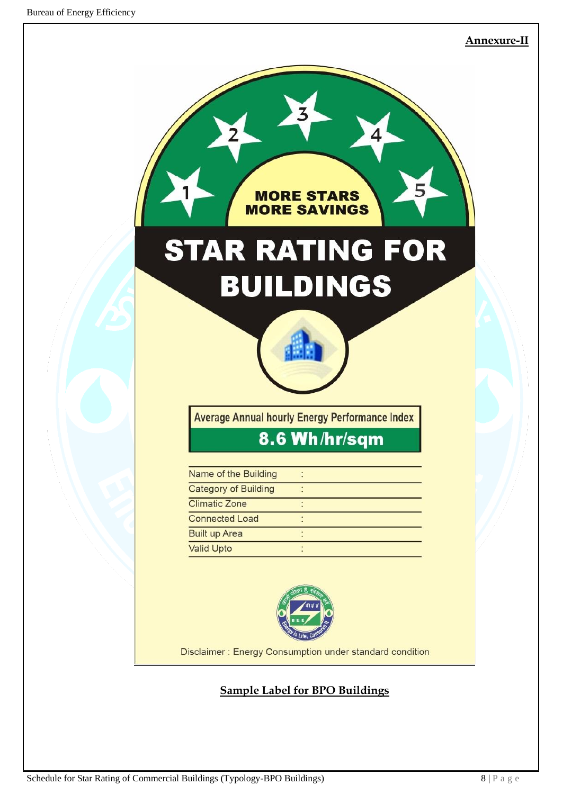#### **Annexure-II**



# **Sample Label for BPO Buildings**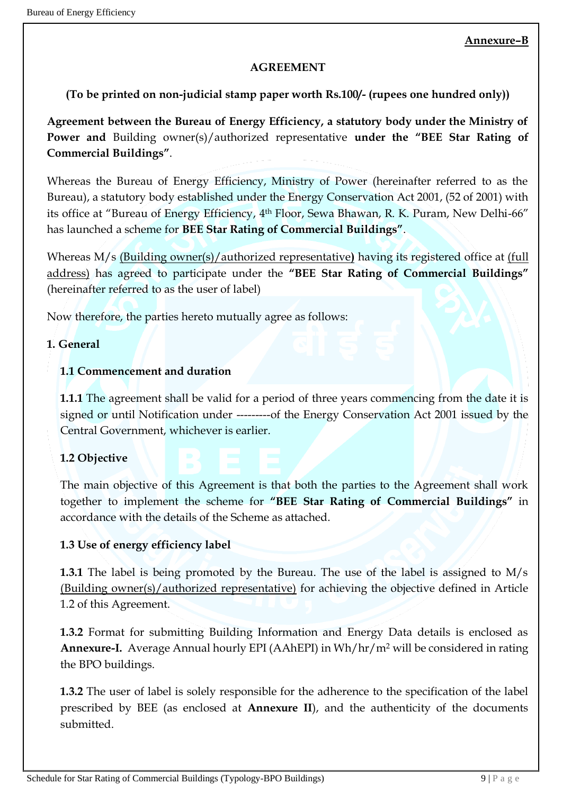### **AGREEMENT**

## **(To be printed on non-judicial stamp paper worth Rs.100/- (rupees one hundred only))**

**Agreement between the Bureau of Energy Efficiency, a statutory body under the Ministry of Power and** Building owner(s)/authorized representative **under the "BEE Star Rating of Commercial Buildings"**.

Whereas the Bureau of Energy Efficiency, Ministry of Power (hereinafter referred to as the Bureau), a statutory body established under the Energy Conservation Act 2001, (52 of 2001) with its office at "Bureau of Energy Efficiency, 4<sup>th</sup> Floor, Sewa Bhawan, R. K. Puram, New Delhi-66" has launched a scheme for **BEE Star Rating of Commercial Buildings"**.

Whereas M/s (Building owner(s)/authorized representative**)** having its registered office at (full address) has agreed to participate under the **"BEE Star Rating of Commercial Buildings"**  (hereinafter referred to as the user of label)

Now therefore, the parties hereto mutually agree as follows:

#### **1. General**

### **1.1 Commencement and duration**

**1.1.1** The agreement shall be valid for a period of three years commencing from the date it is signed or until Notification under ----------of the Energy Conservation Act 2001 issued by the Central Government, whichever is earlier.

### **1.2 Objective**

The main objective of this Agreement is that both the parties to the Agreement shall work together to implement the scheme for **"BEE Star Rating of Commercial Buildings"** in accordance with the details of the Scheme as attached.

### **1.3 Use of energy efficiency label**

**1.3.1** The label is being promoted by the Bureau. The use of the label is assigned to M/s (Building owner(s)/authorized representative) for achieving the objective defined in Article 1.2 of this Agreement.

**1.3.2** Format for submitting Building Information and Energy Data details is enclosed as **Annexure-I.** Average Annual hourly EPI (AAhEPI) in Wh/hr/m<sup>2</sup> will be considered in rating the BPO buildings.

**1.3.2** The user of label is solely responsible for the adherence to the specification of the label prescribed by BEE (as enclosed at **Annexure II**), and the authenticity of the documents submitted.